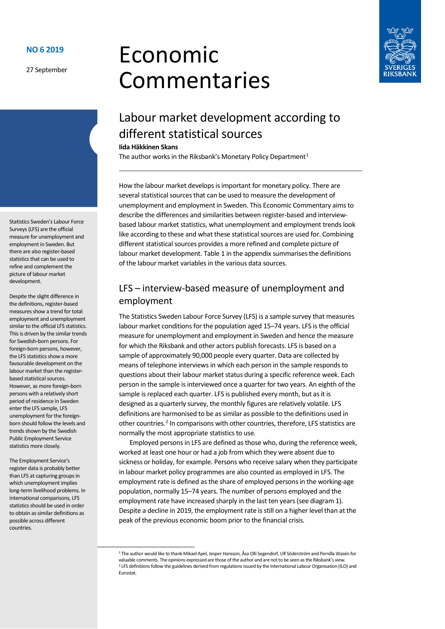27 September

# Economic Commentaries



# Labour market development according to different statistical sources

#### **Iida Häkkinen Skans**

The author works in the Riksbank's Monetary Policy Department<sup>[1](#page-0-0)</sup>

How the labour market develops is important for monetary policy. There are several statistical sources that can be used to measure the development of unemployment and employment in Sweden. This Economic Commentary aims to describe the differences and similarities between register-based and interviewbased labour market statistics, what unemployment and employment trends look like according to these and what these statistical sources are used for. Combining different statistical sources provides a more refined and complete picture of labour market development. Table 1 in the appendix summarises the definitions of the labour market variables in the various data sources.

### LFS – interview-based measure of unemployment and employment

The Statistics Sweden Labour Force Survey (LFS) is a sample survey that measures labour market conditions for the population aged 15–74 years. LFS is the official measure for unemployment and employment in Sweden and hence the measure for which the Riksbank and other actors publish forecasts. LFS is based on a sample of approximately 90,000 people every quarter. Data are collected by means of telephone interviews in which each person in the sample responds to questions about their labour market status during a specific reference week. Each person in the sample is interviewed once a quarter for two years. An eighth of the sample is replaced each quarter. LFS is published every month, but as it is designed as a quarterly survey, the monthly figures are relatively volatile. LFS definitions are harmonised to be as similar as possible to the definitions used in other countries.<sup>[2](#page-0-1)</sup> In comparisons with other countries, therefore, LFS statistics are normally the most appropriate statistics to use.

Employed persons in LFS are defined as those who, during the reference week, worked at least one hour or had a job from which they were absent due to sickness or holiday, for example. Persons who receive salary when they participate in labour market policy programmes are also counted as employed in LFS. The employment rate is defined as the share of employed persons in the working-age population, normally 15–74 years. The number of persons employed and the employment rate have increased sharply in the last ten years (se[e diagram 1\)](#page-1-0). Despite a decline in 2019, the employment rate is still on a higher level than at the peak of the previous economic boom prior to the financial crisis.

Statistics Sweden's Labour Force Surveys (LFS) are the official measure for unemployment and employment in Sweden. But there are also register-based statistics that can be used to refine and complement the picture of labour market development.

Despite the slight difference in the definitions, register-based measures show a trend for total employment and unemployment similar to the official LFS statistics. This is driven by the similar trends for Swedish-born persons. For foreign-born persons, however, the LFS statistics show a more favourable development on the labour market than the registerbased statistical sources. However, as more foreign-born persons with a relatively short period of residence in Sweden enter the LFS sample, LFS unemployment for the foreignborn should follow the levels and trends shown by the Swedish Public Employment Service statistics more closely.

<span id="page-0-1"></span><span id="page-0-0"></span>The Employment Service's register data is probably better than LFS at capturing groups in which unemployment implies long-term livelihood problems. In international comparisons, LFS statistics should be used in order to obtain as similar definitions as possible across different countries.

 <sup>1</sup> The author would like to thank Mikael Apel, Jesper Hansson, Åsa Olli Segendorf, Ulf Söderström and Pernilla Wasén for valuable comments. The opinions expressed are those of the author and are not to be seen as the Riksbank's view.  $2$  LFS definitions follow the guidelines derived from regulations issued by the International Labour Organisation (ILO) and Eurostat.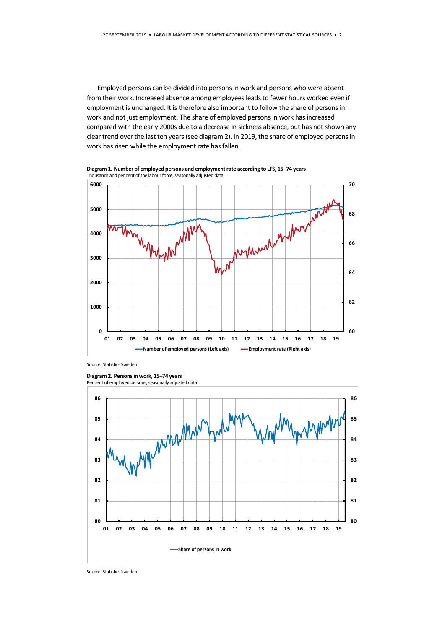Employed persons can be divided into persons in work and persons who were absent from their work. Increased absence among employees leads to fewer hours worked even if employment is unchanged. It is therefore also important to follow the share of persons in work and not just employment. The share of employed persons in work has increased compared with the early 2000s due to a decrease in sickness absence, but has not shown any clear trend over the last ten years (se[e diagram 2\)](#page-1-1). In 2019, the share of employed persons in work has risen while the employment rate has fallen.



<span id="page-1-0"></span>**Diagram 1. Number of employed persons and employment rate according to LFS, 15–74 years** Thousands and per cent of the labour force, seasonally adjusted data

Source: Statistics Sweden

<span id="page-1-1"></span>**Diagram 2. Persons in work, 15–74 years** Per cent of employed persons, seasonally adjusted data



Source: Statistics Sweden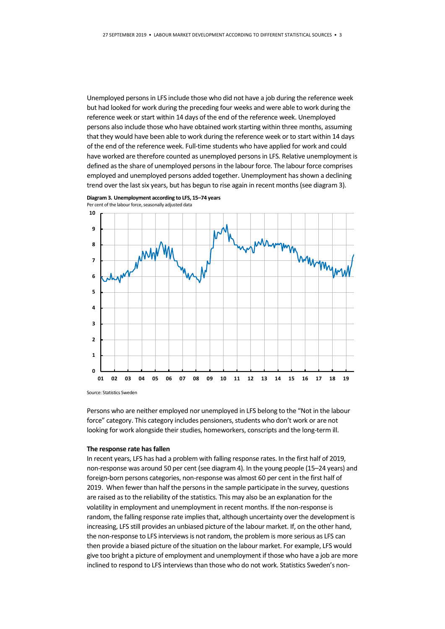Unemployed persons in LFS include those who did not have a job during the reference week but had looked for work during the preceding four weeks and were able to work during the reference week or start within 14 days of the end of the reference week. Unemployed persons also include those who have obtained work starting within three months, assuming that they would have been able to work during the reference week or to start within 14 days of the end of the reference week. Full-time students who have applied for work and could have worked are therefore counted as unemployed persons in LFS. Relative unemployment is defined as the share of unemployed persons in the labour force. The labour force comprises employed and unemployed persons added together. Unemployment has shown a declining trend over the last six years, but has begun to rise again in recent months (se[e diagram 3\)](#page-2-0).

<span id="page-2-0"></span>



Source: Statistics Sweden

Persons who are neither employed nor unemployed in LFS belong to the "Not in the labour force" category. This category includes pensioners, students who don't work or are not looking for work alongside their studies, homeworkers, conscripts and the long-term ill.

#### **The response rate has fallen**

In recent years, LFS has had a problem with falling response rates. In the first half of 2019, non-response was around 50 per cent (se[e diagram 4\)](#page-3-0). In the young people (15–24 years) and foreign-born persons categories, non-response was almost 60 per cent in the first half of 2019. When fewer than half the persons in the sample participate in the survey, questions are raised as to the reliability of the statistics. This may also be an explanation for the volatility in employment and unemployment in recent months. If the non-response is random, the falling response rate implies that, although uncertainty over the development is increasing, LFS still provides an unbiased picture of the labour market. If, on the other hand, the non-response to LFS interviews is not random, the problem is more serious as LFS can then provide a biased picture of the situation on the labour market. For example, LFS would give too bright a picture of employment and unemployment if those who have a job are more inclined to respond to LFS interviews than those who do not work. Statistics Sweden's non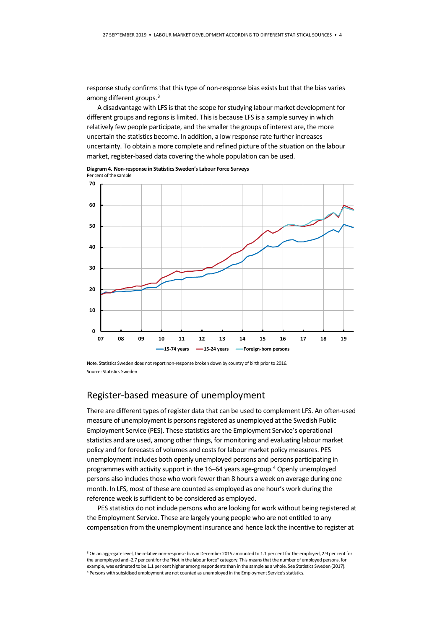response study confirms that this type of non-response bias exists but that the bias varies among different groups. [3](#page-3-1)

A disadvantage with LFS is that the scope for studying labour market development for different groups and regions is limited. This is because LFS is a sample survey in which relatively few people participate, and the smaller the groups of interest are, the more uncertain the statistics become. In addition, a low response rate further increases uncertainty. To obtain a more complete and refined picture of the situation on the labour market, register-based data covering the whole population can be used.



<span id="page-3-0"></span>

Note. Statistics Sweden does not report non-response broken down by country of birth prior to 2016. Source: Statistics Sweden

### Register-based measure of unemployment

There are different types of register data that can be used to complement LFS. An often-used measure of unemployment is persons registered as unemployed at the Swedish Public Employment Service (PES). These statistics are the Employment Service's operational statistics and are used, among other things, for monitoring and evaluating labour market policy and for forecasts of volumes and costs for labour market policy measures. PES unemployment includes both openly unemployed persons and persons participating in programmes with activity support in the 16–6[4](#page-3-2) years age-group.<sup>4</sup> Openly unemployed persons also includes those who work fewer than 8 hours a week on average during one month. In LFS, most of these are counted as employed as one hour's work during the reference week is sufficient to be considered as employed.

PES statistics do not include persons who are looking for work without being registered at the Employment Service. These are largely young people who are not entitled to any compensation from the unemployment insurance and hence lack the incentive to register at

<span id="page-3-2"></span><span id="page-3-1"></span><sup>&</sup>lt;sup>3</sup> On an aggregate level, the relative non-response bias in December 2015 amounted to 1.1 per cent for the employed, 2.9 per cent for the unemployed and -2.7 per cent for the "Not in the labour force" category. This means that the number of employed persons, for example, was estimated to be 1.1 per cent higher among respondents than in the sample as a whole. See Statistics Sweden (2017).<br><sup>4</sup> Persons with subsidised employment are not counted as unemployed in the Employment Service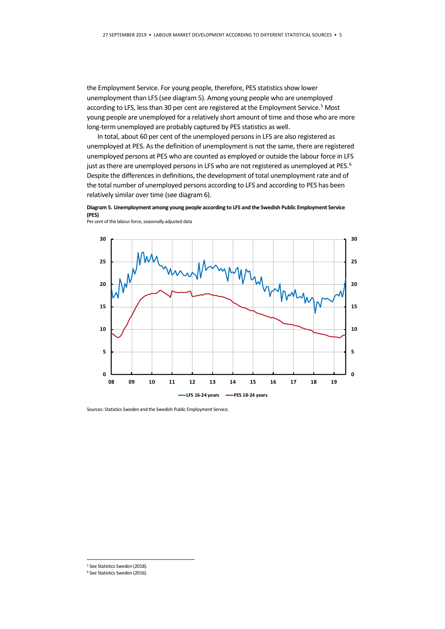the Employment Service. For young people, therefore, PES statistics show lower unemployment than LFS (se[e diagram 5\)](#page-4-0). Among young people who are unemployed according to LFS, less than 30 per cent are registered at the Employment Service. [5](#page-4-1) Most young people are unemployed for a relatively short amount of time and those who are more long-term unemployed are probably captured by PES statistics as well.

In total, about 60 per cent of the unemployed persons in LFS are also registered as unemployed at PES. As the definition of unemployment is not the same, there are registered unemployed persons at PES who are counted as employed or outside the labour force in LFS just as there are unemployed persons in LFS who are not registered as unemployed at PES. $^{\rm 6}$  $^{\rm 6}$  $^{\rm 6}$ Despite the differences in definitions, the development of total unemployment rate and of the total number of unemployed persons according to LFS and according to PES has been relatively similar over time (se[e diagram 6\)](#page-5-0).

#### <span id="page-4-0"></span>**Diagram 5. Unemployment among young people according to LFS and the Swedish Public Employment Service (PES)**



Per cent of the labour force, seasonally adjusted data

Sources: Statistics Sweden and the Swedish Public Employment Service.

<span id="page-4-1"></span><sup>&</sup>lt;sup>5</sup> See Statistics Sweden (2018).

<span id="page-4-2"></span><sup>6</sup> See Statistics Sweden (2016).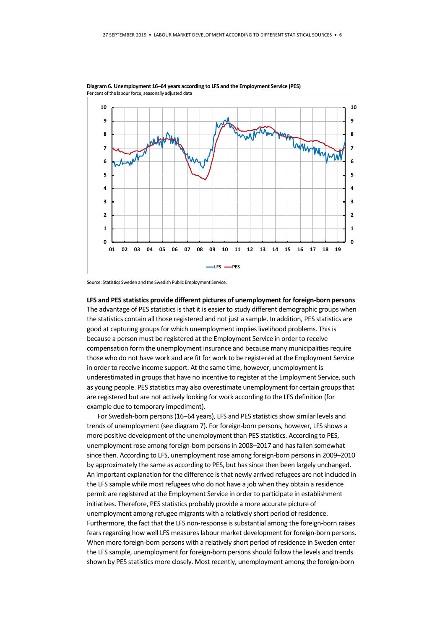

<span id="page-5-0"></span>**Diagram 6. Unemployment 16–64 years according to LFS and the Employment Service (PES)** Per cent of the labour force, seasonally adjusted data

Source: Statistics Sweden and the Swedish Public Employment Service.

**LFS and PES statistics provide different pictures of unemployment for foreign-born persons** The advantage of PES statistics is that it is easier to study different demographic groups when the statistics contain all those registered and not just a sample. In addition, PES statistics are good at capturing groups for which unemployment implies livelihood problems. Thisis because a person must be registered at the Employment Service in order to receive compensation form the unemployment insurance and because many municipalities require those who do not have work and are fit for work to be registered at the Employment Service in order to receive income support. At the same time, however, unemployment is underestimated in groups that have no incentive to register at the Employment Service, such as young people. PES statistics may also overestimate unemployment for certain groups that are registered but are not actively looking for work according to the LFS definition (for example due to temporary impediment).

For Swedish-born persons (16–64 years), LFS and PES statistics show similar levels and trends of unemployment (se[e diagram 7\)](#page-6-0). For foreign-born persons, however, LFS shows a more positive development of the unemployment than PES statistics. According to PES, unemployment rose among foreign-born persons in 2008–2017 and has fallen somewhat since then. According to LFS, unemployment rose among foreign-born persons in 2009–2010 by approximately the same as according to PES, but has since then been largely unchanged. An important explanation for the difference is that newly arrived refugees are not included in the LFS sample while most refugees who do not have a job when they obtain a residence permit are registered at the Employment Service in order to participate in establishment initiatives. Therefore, PES statistics probably provide a more accurate picture of unemployment among refugee migrants with a relatively short period of residence. Furthermore, the fact that the LFS non-response is substantial among the foreign-born raises fears regarding how well LFS measures labour market development for foreign-born persons. When more foreign-born persons with a relatively short period of residence in Sweden enter the LFS sample, unemployment for foreign-born persons should follow the levels and trends shown by PES statistics more closely. Most recently, unemployment among the foreign-born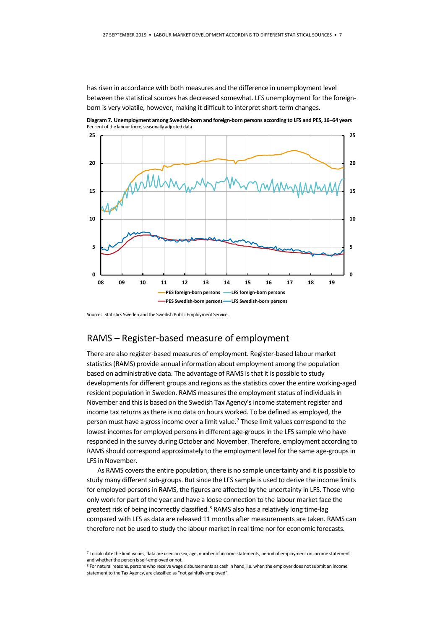has risen in accordance with both measures and the difference in unemployment level between the statistical sources has decreased somewhat. LFS unemployment for the foreignborn is very volatile, however, making it difficult to interpret short-term changes.

<span id="page-6-0"></span>**Diagram 7. Unemployment among Swedish-born and foreign-born persons according to LFS and PES, 16–64 years** Per cent of the labour force, seasonally adjusted data



Sources: Statistics Sweden and the Swedish Public Employment Service.

#### RAMS – Register-based measure of employment

There are also register-based measures of employment. Register-based labour market statistics (RAMS) provide annual information about employment among the population based on administrative data. The advantage of RAMS is that it is possible to study developments for different groups and regions as the statistics cover the entire working-aged resident population in Sweden. RAMS measures the employment status of individuals in November and this is based on the Swedish Tax Agency's income statement register and income tax returns as there is no data on hours worked. To be defined as employed, the person must have a gross income over a limit value.<sup>[7](#page-6-1)</sup> These limit values correspond to the lowest incomes for employed persons in different age-groups in the LFS sample who have responded in the survey during October and November. Therefore, employment according to RAMS should correspond approximately to the employment level for the same age-groups in LFS in November.

As RAMS covers the entire population, there is no sample uncertainty and it is possible to study many different sub-groups. But since the LFS sample is used to derive the income limits for employed persons in RAMS, the figures are affected by the uncertainty in LFS. Those who only work for part of the year and have a loose connection to the labour market face the greatest risk of being incorrectly classified. [8](#page-6-2) RAMS also has a relatively long time-lag compared with LFS as data are released 11 months after measurements are taken. RAMS can therefore not be used to study the labour market in real time nor for economic forecasts.

<span id="page-6-1"></span> <sup>7</sup> To calculate the limit values, data are used on sex, age, number of income statements, period of employment on income statement and whether the person is self-employed or not.<br><sup>8</sup> For natural reasons, persons who receive wage disbursements as cash in hand, i.e. when the employer does not submit an income

<span id="page-6-2"></span>statement to the Tax Agency, are classified as "not gainfully employed".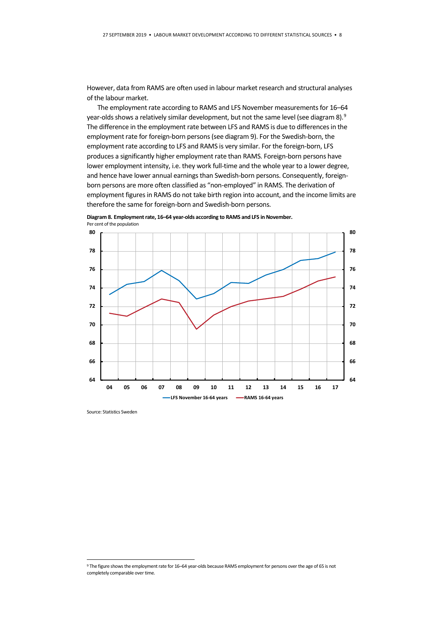However, data from RAMS are often used in labour market research and structural analyses of the labour market.

The employment rate according to RAMS and LFS November measurements for 16–64 year-olds shows a relatively similar development, but not the same level (se[e diagram 8\)](#page-7-0).<sup>[9](#page-7-1)</sup> The difference in the employment rate between LFS and RAMS is due to differences in the employment rate for foreign-born persons (se[e diagram 9\)](#page-8-0). For the Swedish-born, the employment rate according to LFS and RAMS is very similar. For the foreign-born, LFS produces a significantly higher employment rate than RAMS. Foreign-born persons have lower employment intensity, i.e. they work full-time and the whole year to a lower degree, and hence have lower annual earnings than Swedish-born persons. Consequently, foreignborn persons are more often classified as "non-employed" in RAMS. The derivation of employment figures in RAMS do not take birth region into account, and the income limits are therefore the same for foreign-born and Swedish-born persons.



<span id="page-7-0"></span>**Diagram 8. Employment rate, 16–64 year-olds according to RAMS and LFS in November.**  Per cent of the population

Source: Statistics Sweden

<span id="page-7-1"></span> <sup>9</sup> The figure shows the employment rate for 16–64 year-olds because RAMS employment for persons over the age of 65 is not completely comparable over time.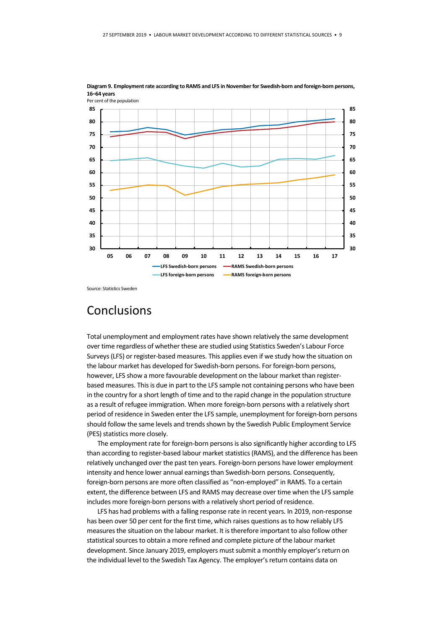

<span id="page-8-0"></span>**Diagram 9. Employment rate according to RAMS and LFS in November for Swedish-born and foreign-born persons, 16–64 years**

Source: Statistics Sweden

### Conclusions

Total unemployment and employment rates have shown relatively the same development over time regardless of whether these are studied using Statistics Sweden's Labour Force Surveys (LFS) or register-based measures. This applies even if we study how the situation on the labour market has developed for Swedish-born persons. For foreign-born persons, however, LFS show a more favourable development on the labour market than registerbased measures. This is due in part to the LFS sample not containing persons who have been in the country for a short length of time and to the rapid change in the population structure as a result of refugee immigration. When more foreign-born persons with a relatively short period of residence in Sweden enter the LFS sample, unemployment for foreign-born persons should follow the same levels and trends shown by the Swedish Public Employment Service (PES) statistics more closely.

The employment rate for foreign-born persons is also significantly higher according to LFS than according to register-based labour market statistics (RAMS), and the difference has been relatively unchanged over the past ten years. Foreign-born persons have lower employment intensity and hence lower annual earnings than Swedish-born persons. Consequently, foreign-born persons are more often classified as "non-employed" in RAMS. To a certain extent, the difference between LFS and RAMS may decrease over time when the LFS sample includes more foreign-born persons with a relatively short period of residence.

LFS has had problems with a falling response rate in recent years. In 2019, non-response has been over 50 per cent for the first time, which raises questions as to how reliably LFS measures the situation on the labour market. It is therefore important to also follow other statistical sources to obtain a more refined and complete picture of the labour market development. Since January 2019, employers must submit a monthly employer's return on the individual level to the Swedish Tax Agency. The employer's return contains data on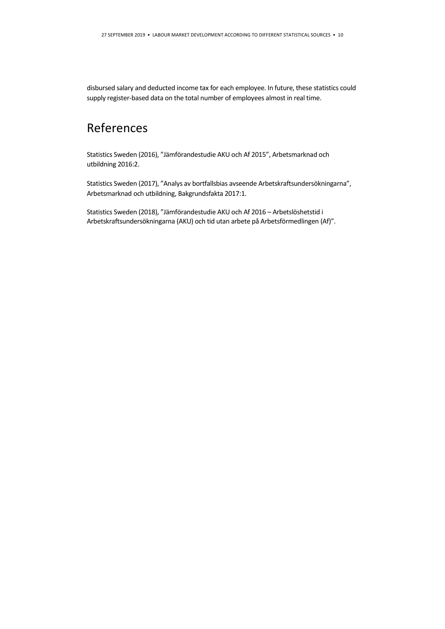disbursed salary and deducted income tax for each employee. In future, these statistics could supply register-based data on the total number of employees almost in real time.

## References

Statistics Sweden (2016), "Jämförandestudie AKU och Af 2015", Arbetsmarknad och utbildning 2016:2.

Statistics Sweden (2017), "Analys av bortfallsbias avseende Arbetskraftsundersökningarna", Arbetsmarknad och utbildning, Bakgrundsfakta 2017:1.

Statistics Sweden (2018), "Jämförandestudie AKU och Af 2016 – Arbetslöshetstid i Arbetskraftsundersökningarna (AKU) och tid utan arbete på Arbetsförmedlingen (Af)".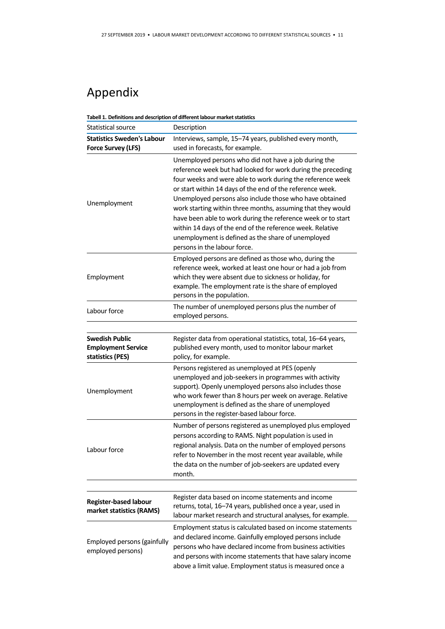# Appendix

#### **Tabell 1. Definitions and description of different labour market statistics**

| Statistical source                                                     | Description                                                                                                                                                                                                                                                                                                                                                                                                                                                                                                                                                                                 |
|------------------------------------------------------------------------|---------------------------------------------------------------------------------------------------------------------------------------------------------------------------------------------------------------------------------------------------------------------------------------------------------------------------------------------------------------------------------------------------------------------------------------------------------------------------------------------------------------------------------------------------------------------------------------------|
| <b>Statistics Sweden's Labour</b>                                      | Interviews, sample, 15-74 years, published every month,                                                                                                                                                                                                                                                                                                                                                                                                                                                                                                                                     |
| <b>Force Survey (LFS)</b>                                              | used in forecasts, for example.                                                                                                                                                                                                                                                                                                                                                                                                                                                                                                                                                             |
| Unemployment                                                           | Unemployed persons who did not have a job during the<br>reference week but had looked for work during the preceding<br>four weeks and were able to work during the reference week<br>or start within 14 days of the end of the reference week.<br>Unemployed persons also include those who have obtained<br>work starting within three months, assuming that they would<br>have been able to work during the reference week or to start<br>within 14 days of the end of the reference week. Relative<br>unemployment is defined as the share of unemployed<br>persons in the labour force. |
| Employment                                                             | Employed persons are defined as those who, during the<br>reference week, worked at least one hour or had a job from<br>which they were absent due to sickness or holiday, for<br>example. The employment rate is the share of employed<br>persons in the population.                                                                                                                                                                                                                                                                                                                        |
| Labour force                                                           | The number of unemployed persons plus the number of<br>employed persons.                                                                                                                                                                                                                                                                                                                                                                                                                                                                                                                    |
| <b>Swedish Public</b><br><b>Employment Service</b><br>statistics (PES) | Register data from operational statistics, total, 16-64 years,<br>published every month, used to monitor labour market<br>policy, for example.                                                                                                                                                                                                                                                                                                                                                                                                                                              |
| Unemployment                                                           | Persons registered as unemployed at PES (openly<br>unemployed and job-seekers in programmes with activity<br>support). Openly unemployed persons also includes those<br>who work fewer than 8 hours per week on average. Relative<br>unemployment is defined as the share of unemployed<br>persons in the register-based labour force.                                                                                                                                                                                                                                                      |
| Labour force                                                           | Number of persons registered as unemployed plus employed<br>persons according to RAMS. Night population is used in<br>regional analysis. Data on the number of employed persons<br>refer to November in the most recent year available, while<br>the data on the number of job-seekers are updated every<br>month.                                                                                                                                                                                                                                                                          |
| <b>Register-based labour</b><br>market statistics (RAMS)               | Register data based on income statements and income<br>returns, total, 16-74 years, published once a year, used in<br>labour market research and structural analyses, for example.                                                                                                                                                                                                                                                                                                                                                                                                          |
| Employed persons (gainfully<br>employed persons)                       | Employment status is calculated based on income statements<br>and declared income. Gainfully employed persons include<br>persons who have declared income from business activities<br>and persons with income statements that have salary income<br>above a limit value. Employment status is measured once a                                                                                                                                                                                                                                                                               |